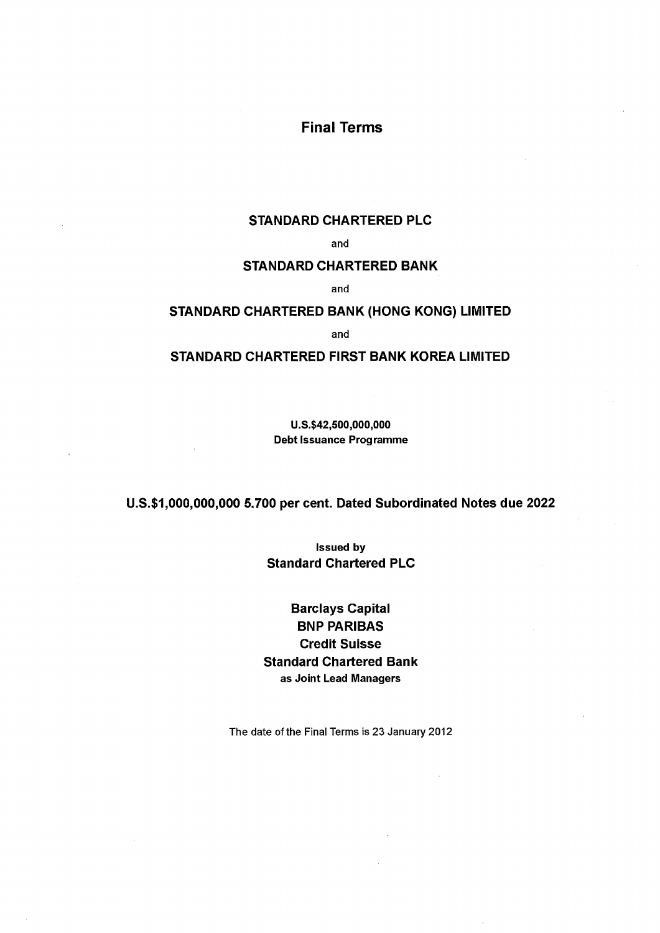# Final Terms

# STANDARD CHARTERED PLC

and

## STANDARD CHARTERED BANK

and

# STANDARD CHARTERED BANK (HONG KONG) LIMITED

and

# STANDARD CHARTERED FIRST BANK KOREA LIMITED

U.S.\$42,500,OOO,OOO Debt Issuance Programme

# U.S.\$1,000,000,000 5.700 per cent. Dated Subordinated Notes due 2022

Issued by Standard Chartered PLC

Barclays Capital BNP PARIBAS Credit Suisse Standard Chartered Bank as Joint Lead Managers

The date of the Final Terms is 23 January 2012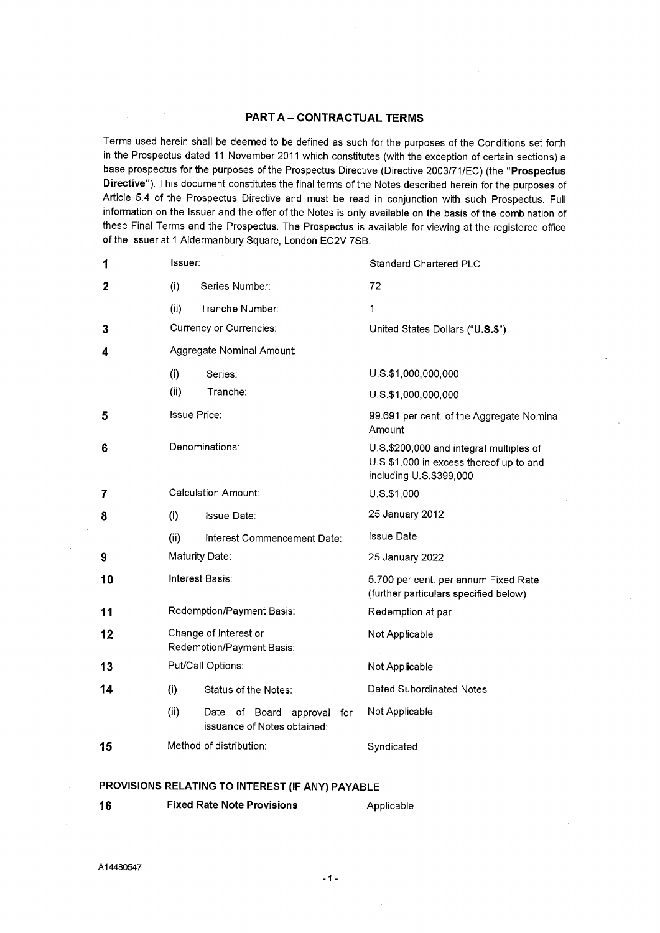# PART A - CONTRACTUAL TERMS

Terms used herein shall be deemed to be defined as such for the purposes of the Conditions set forth in the Prospectus dated 11 November 2011 which constitutes (with the exception of certain sections) <sup>a</sup> base prospectus for the purposes of the Prospectus Directive (Directive 2003/71/EC) (the "Prospectus Directive"). This document constitutes the final terms of the Notes described herein for the purposes of Article 5.4 of the Prospectus Directive and must be read in conjunction with such Prospectus. Full information on the Issuer and the offer of the Notes is only available on the basis of the combination of these Final Terms and the Prospectus. The Prospectus is available for viewing at the registered office of the Issuer at 1 Aldermanbury Square, London EC2V 7SB.

| 1  | Issuer:                   |                                                                 | <b>Standard Chartered PLC</b>                                                                                 |
|----|---------------------------|-----------------------------------------------------------------|---------------------------------------------------------------------------------------------------------------|
| 2  | (i)                       | Series Number:                                                  | 72                                                                                                            |
|    | (ii)                      | Tranche Number:                                                 | 1                                                                                                             |
| 3  |                           | <b>Currency or Currencies:</b>                                  | United States Dollars ("U.S.\$")                                                                              |
| 4  |                           | Aggregate Nominal Amount:                                       |                                                                                                               |
|    | (i)                       | Series:                                                         | U.S.\$1,000,000,000                                                                                           |
|    | (ii)                      | Tranche:                                                        | U.S.\$1,000,000,000                                                                                           |
| 5  | <b>Issue Price:</b>       |                                                                 | 99.691 per cent. of the Aggregate Nominal<br>Amount                                                           |
| 6  |                           | Denominations:                                                  | U.S.\$200,000 and integral multiples of<br>U.S.\$1,000 in excess thereof up to and<br>including U.S.\$399,000 |
| 7  |                           | <b>Calculation Amount:</b>                                      | $U.S.$ \$1,000                                                                                                |
| 8  | (i)                       | <b>Issue Date:</b>                                              | 25 January 2012                                                                                               |
|    | (ii)                      | Interest Commencement Date:                                     | <b>Issue Date</b>                                                                                             |
| 9  | Maturity Date:            |                                                                 | 25 January 2022                                                                                               |
| 10 | <b>Interest Basis:</b>    |                                                                 | 5.700 per cent. per annum Fixed Rate<br>(further particulars specified below)                                 |
| 11 | Redemption/Payment Basis: |                                                                 | Redemption at par                                                                                             |
| 12 |                           | Change of Interest or<br>Redemption/Payment Basis:              | Not Applicable                                                                                                |
| 13 |                           | Put/Call Options:                                               | Not Applicable                                                                                                |
| 14 | (i)                       | Status of the Notes:                                            | Dated Subordinated Notes                                                                                      |
|    | (ii)                      | Date of Board<br>approval<br>for<br>issuance of Notes obtained: | Not Applicable                                                                                                |
| 15 |                           | Method of distribution:                                         | Syndicated                                                                                                    |

### PROVISIONS RELATING TO INTEREST (IF ANY) PAYABLE

| <b>Fixed Rate Note Provisions</b><br>16 |  | Applicable |
|-----------------------------------------|--|------------|
|-----------------------------------------|--|------------|

A14480547

- 1 -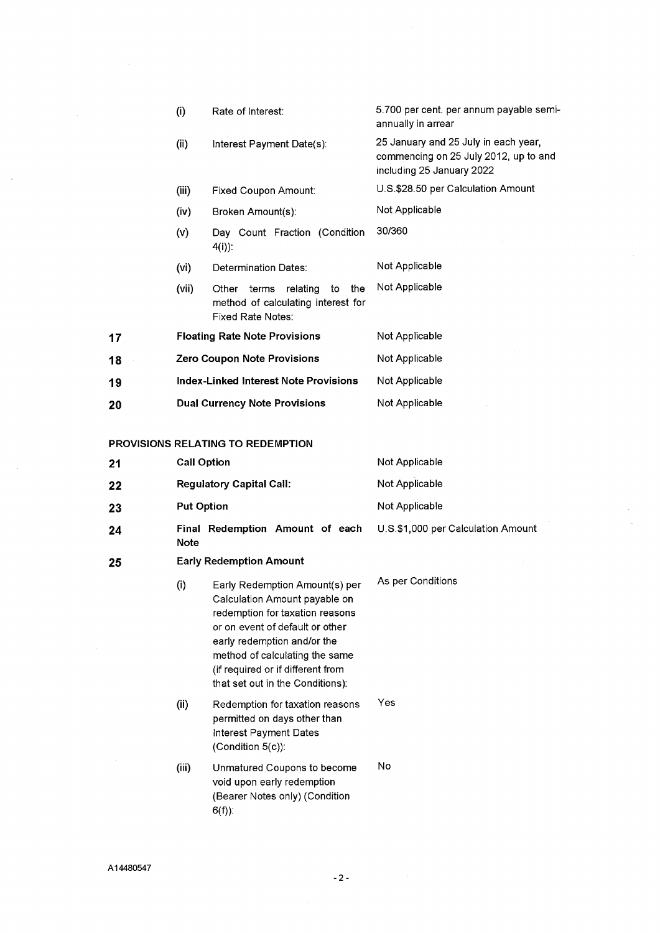|                                          | (i)                                          | Rate of Interest:                                                                                         | 5.700 per cent. per annum payable semi-<br>annually in arrear                                              |
|------------------------------------------|----------------------------------------------|-----------------------------------------------------------------------------------------------------------|------------------------------------------------------------------------------------------------------------|
|                                          | (ii)                                         | Interest Payment Date(s):                                                                                 | 25 January and 25 July in each year,<br>commencing on 25 July 2012, up to and<br>including 25 January 2022 |
|                                          | (iii)                                        | Fixed Coupon Amount:                                                                                      | U.S.\$28.50 per Calculation Amount                                                                         |
|                                          | (iv)                                         | Broken Amount(s):                                                                                         | Not Applicable                                                                                             |
|                                          | (v)                                          | Day Count Fraction (Condition<br>$4(i)$ :                                                                 | 30/360                                                                                                     |
|                                          | (vi)                                         | Determination Dates:                                                                                      | Not Applicable                                                                                             |
|                                          | (vii)                                        | relating<br>Other<br>terms<br>to<br>the<br>method of calculating interest for<br><b>Fixed Rate Notes:</b> | Not Applicable                                                                                             |
| 17                                       | <b>Floating Rate Note Provisions</b>         |                                                                                                           | Not Applicable                                                                                             |
| 18                                       | <b>Zero Coupon Note Provisions</b>           |                                                                                                           | Not Applicable                                                                                             |
| 19                                       | <b>Index-Linked Interest Note Provisions</b> |                                                                                                           | Not Applicable                                                                                             |
| 20                                       | <b>Dual Currency Note Provisions</b>         |                                                                                                           | Not Applicable                                                                                             |
| <b>PROVISIONS RELATING TO REDEMPTION</b> |                                              |                                                                                                           |                                                                                                            |

÷. ÷,

 $\bar{\mathcal{A}}$ 

| 21 | <b>Call Option</b>              |                                                                                                                                                                                                                                                                                 | Not Applicable                     |  |
|----|---------------------------------|---------------------------------------------------------------------------------------------------------------------------------------------------------------------------------------------------------------------------------------------------------------------------------|------------------------------------|--|
| 22 | <b>Regulatory Capital Call:</b> |                                                                                                                                                                                                                                                                                 | Not Applicable                     |  |
| 23 | <b>Put Option</b>               |                                                                                                                                                                                                                                                                                 | Not Applicable                     |  |
| 24 | <b>Note</b>                     | Final Redemption Amount of each                                                                                                                                                                                                                                                 | U.S.\$1,000 per Calculation Amount |  |
| 25 |                                 | <b>Early Redemption Amount</b>                                                                                                                                                                                                                                                  |                                    |  |
|    | (i)                             | Early Redemption Amount(s) per<br>Calculation Amount payable on<br>redemption for taxation reasons<br>or on event of default or other<br>early redemption and/or the<br>method of calculating the same<br>(if required or if different from<br>that set out in the Conditions): | As per Conditions                  |  |
|    | (ii)                            | Redemption for taxation reasons<br>permitted on days other than<br>Interest Payment Dates<br>(Condition 5(c)):                                                                                                                                                                  | Yes                                |  |
|    | (iii)                           | Unmatured Coupons to become<br>void upon early redemption<br>(Bearer Notes only) (Condition<br>$6(f)$ :                                                                                                                                                                         | No                                 |  |
|    |                                 |                                                                                                                                                                                                                                                                                 |                                    |  |

-2-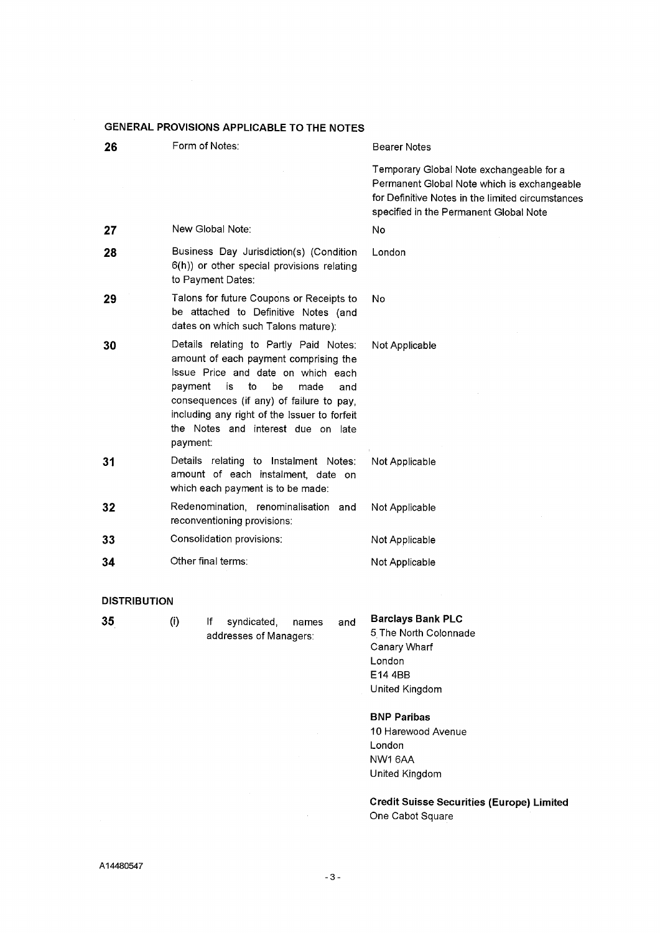| GENERAL PROVISIONS APPLICABLE TO THE NOTES |                                                                                                                                                                                                                                                                                                                 |                                                                                                                                                                                        |  |  |
|--------------------------------------------|-----------------------------------------------------------------------------------------------------------------------------------------------------------------------------------------------------------------------------------------------------------------------------------------------------------------|----------------------------------------------------------------------------------------------------------------------------------------------------------------------------------------|--|--|
| 26                                         | Form of Notes:                                                                                                                                                                                                                                                                                                  | Bearer Notes                                                                                                                                                                           |  |  |
|                                            |                                                                                                                                                                                                                                                                                                                 | Temporary Global Note exchangeable for a<br>Permanent Global Note which is exchangeable<br>for Definitive Notes in the limited circumstances<br>specified in the Permanent Global Note |  |  |
| 27                                         | New Global Note:                                                                                                                                                                                                                                                                                                | No                                                                                                                                                                                     |  |  |
| 28                                         | Business Day Jurisdiction(s) (Condition<br>6(h)) or other special provisions relating<br>to Payment Dates:                                                                                                                                                                                                      | London                                                                                                                                                                                 |  |  |
| 29                                         | Talons for future Coupons or Receipts to<br>be attached to Definitive Notes (and<br>dates on which such Talons mature):                                                                                                                                                                                         | No                                                                                                                                                                                     |  |  |
| 30                                         | Details relating to Partly Paid Notes:<br>amount of each payment comprising the<br>Issue Price and date on which each<br>payment<br>is<br>to<br>be<br>made<br>and<br>consequences (if any) of failure to pay,<br>including any right of the Issuer to forfeit<br>the Notes and interest due on late<br>payment: | Not Applicable                                                                                                                                                                         |  |  |
| 31                                         | Details relating to Instalment Notes:<br>amount of each instalment, date on<br>which each payment is to be made:                                                                                                                                                                                                | Not Applicable                                                                                                                                                                         |  |  |
| 32                                         | Redenomination, renominalisation and<br>Not Applicable<br>reconventioning provisions:                                                                                                                                                                                                                           |                                                                                                                                                                                        |  |  |
| 33                                         | Consolidation provisions:                                                                                                                                                                                                                                                                                       | Not Applicable                                                                                                                                                                         |  |  |
| 34                                         | Other final terms:                                                                                                                                                                                                                                                                                              | Not Applicable                                                                                                                                                                         |  |  |
| <b>DISTRIBUTION</b>                        |                                                                                                                                                                                                                                                                                                                 |                                                                                                                                                                                        |  |  |
| 35                                         | (i)<br>lf<br>syndicated,<br>and<br>names                                                                                                                                                                                                                                                                        | <b>Barclays Bank PLC</b>                                                                                                                                                               |  |  |

- 
- 35

syndicated, addresses of Managers:

<sup>5</sup>The North Colonnade Canary Wharf London E144BB

BNP Paribas

United Kingdom

10 Harewood Avenue London NW16AA United Kingdom

Credit Suisse Securities (Europe) Limited One Cabot Square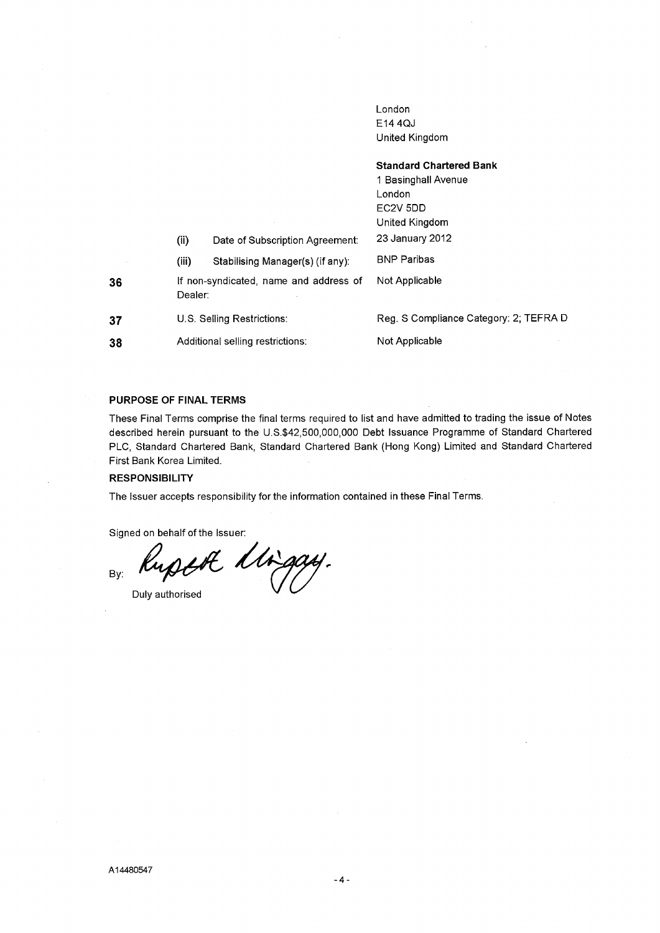London E144QJ United Kingdom

|    |                                                   |                                  | <b>Standard Chartered Bank</b><br>1 Basinghall Avenue<br>London<br>EC <sub>2</sub> V <sub>5DD</sub> |
|----|---------------------------------------------------|----------------------------------|-----------------------------------------------------------------------------------------------------|
|    |                                                   |                                  | United Kingdom                                                                                      |
|    | (ii)                                              | Date of Subscription Agreement:  | 23 January 2012                                                                                     |
|    | (iii)                                             | Stabilising Manager(s) (if any): | <b>BNP Paribas</b>                                                                                  |
| 36 | If non-syndicated, name and address of<br>Dealer: |                                  | Not Applicable                                                                                      |
| 37 | U.S. Selling Restrictions:                        |                                  | Reg. S Compliance Category: 2; TEFRA D                                                              |
| 38 | Additional selling restrictions:                  |                                  | Not Applicable                                                                                      |

### PURPOSE OF FINAL TERMS

These Final Terms comprise the final terms required to list and have admitted to trading the issue of Notes described herein pursuant to the U.S.\$42,500,000,000 Debt Issuance Programme of Standard Chartered PLC, Standard Chartered Bank, Standard Chartered Bank (Hong Kong) Limited and Standard Chartered First Bank Korea Limited.

### **RESPONSIBILITY**

The Issuer accepts responsibility for the information contained in these Final Terms.

Signed on behalf of the Issuer:

By: Rupth Migay.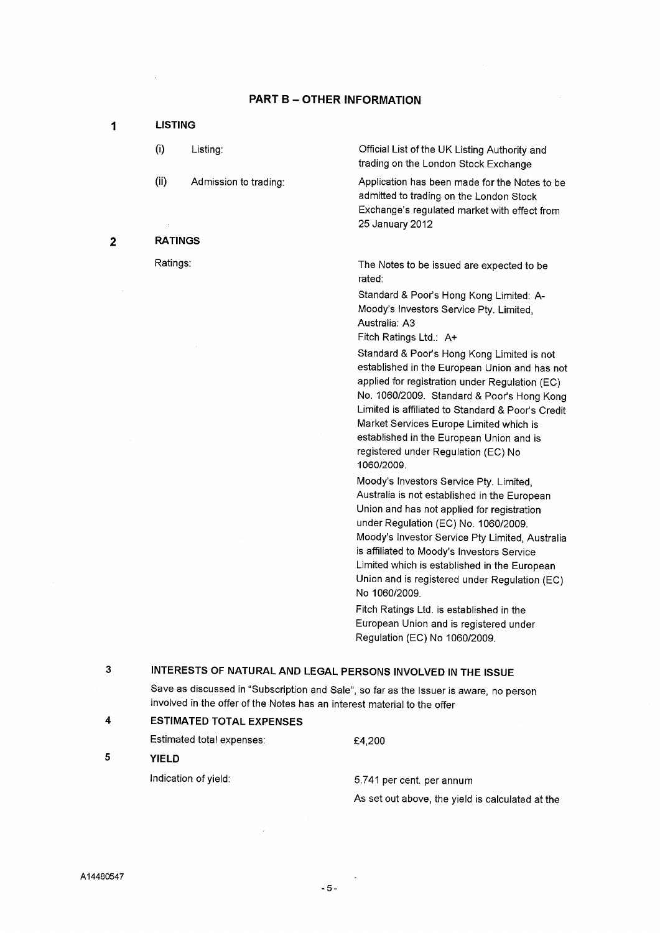## PART B - OTHER INFORMATION

| 1           |                | <b>LISTING</b>        |                                                                                                                                                                                                                                                                                                                                                                                             |  |  |
|-------------|----------------|-----------------------|---------------------------------------------------------------------------------------------------------------------------------------------------------------------------------------------------------------------------------------------------------------------------------------------------------------------------------------------------------------------------------------------|--|--|
|             | (i)            | Listing:              | Official List of the UK Listing Authority and<br>trading on the London Stock Exchange                                                                                                                                                                                                                                                                                                       |  |  |
|             | (ii)           | Admission to trading: | Application has been made for the Notes to be<br>admitted to trading on the London Stock<br>Exchange's regulated market with effect from<br>25 January 2012                                                                                                                                                                                                                                 |  |  |
| $\mathbf 2$ | <b>RATINGS</b> |                       |                                                                                                                                                                                                                                                                                                                                                                                             |  |  |
|             | Ratings:       |                       | The Notes to be issued are expected to be<br>rated:                                                                                                                                                                                                                                                                                                                                         |  |  |
|             |                |                       | Standard & Poor's Hong Kong Limited: A-<br>Moody's Investors Service Pty. Limited,<br>Australia: A3<br>Fitch Ratings Ltd.: A+                                                                                                                                                                                                                                                               |  |  |
|             |                |                       | Standard & Poor's Hong Kong Limited is not<br>established in the European Union and has not<br>applied for registration under Regulation (EC)<br>No. 1060/2009. Standard & Poor's Hong Kong<br>Limited is affiliated to Standard & Poor's Credit<br>Market Services Europe Limited which is<br>established in the European Union and is<br>registered under Regulation (EC) No<br>1060/2009 |  |  |
|             |                |                       | Moody's Investors Service Pty. Limited,<br>Australia is not established in the European<br>Union and has not applied for registration<br>under Regulation (EC) No. 1060/2009.                                                                                                                                                                                                               |  |  |

3 INTERESTS OF NATURAL AND LEGAL PERSONS INVOLVED IN THE ISSUE

Save as discussed in "Subscription and Sale", so far as the Issuer is aware, no person involved in the offer of the Notes has an interest material to the offer

# <sup>4</sup>ESTIMATED TOTAL EXPENSES

Estimated total expenses:

<sup>5</sup>YIELD

Indication of yield: 5.741 per cent. per annum

£4,200

No 1060/2009.

As set out above, the yield is calculated at the

Moody's Investor Service Pty Limited, Australia is affiliated to Moody's Investors Service Limited which is established in the European Union and is registered under Regulation (EC)

Fitch Ratings Ltd. is established in the European Union and is registered under

Regulation (EC) No 1060/2009.

-5-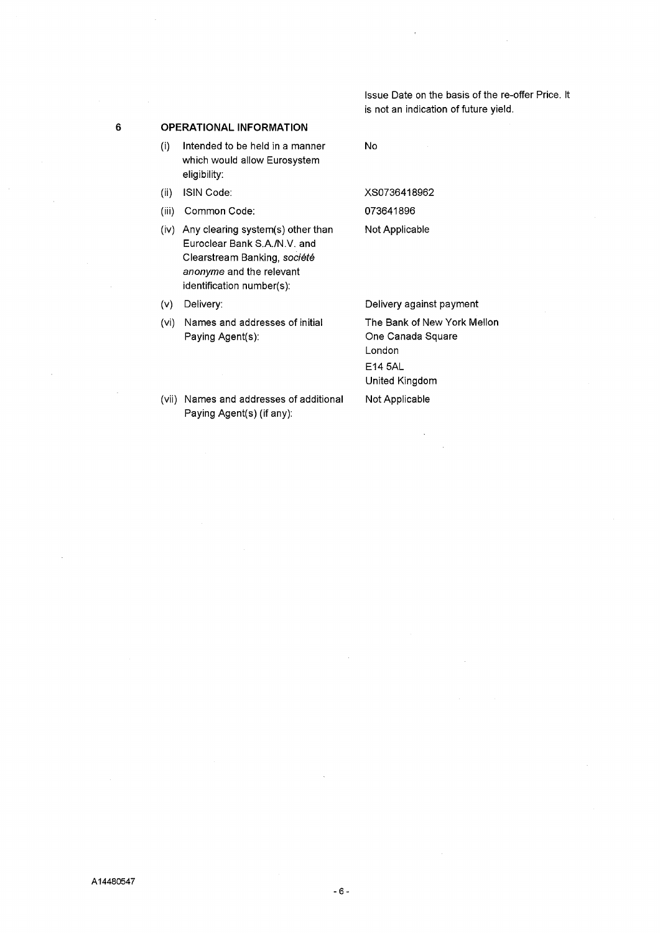Issue Date on the basis of the re-offer Price. It is not an indication of future yield.

### 6 OPERATIONAL INFORMATION

- (i) Intended to be held in a manner which would allow Eurosystem eligibility:
- (ii) ISIN Code:
- (iii) Common Code:
- (iv) Any clearing system(s) other than Euroclear Bank S.A./N.V. and Clearstream Banking, société anonyme and the relevant identification number(s):

(v) Delivery:

(vi) Names and addresses of initial Paying Agent(s):

No

XS0736418962 073641896 Not Applicable

Delivery against payment The Bank of New York Mellon One Canada Square London E14 SAL United Kingdom Not Applicable

(vii) Names and addresses of additional Paying Agent(s) (if any):